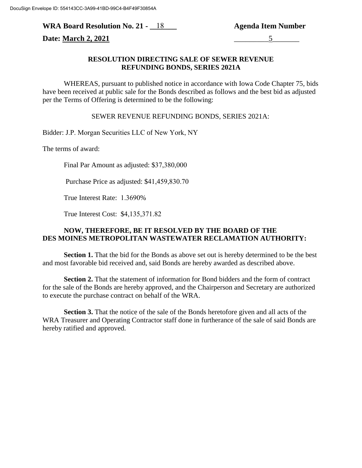**WRA Board Resolution No. 21 - \_\_\_\_\_\_\_ Agenda Item Number** 18

**Date: March 2, 2021** 5

## **RESOLUTION DIRECTING SALE OF SEWER REVENUE REFUNDING BONDS, SERIES 2021A**

WHEREAS, pursuant to published notice in accordance with Iowa Code Chapter 75, bids have been received at public sale for the Bonds described as follows and the best bid as adjusted per the Terms of Offering is determined to be the following:

SEWER REVENUE REFUNDING BONDS, SERIES 2021A:

Bidder: J.P. Morgan Securities LLC of New York, NY

The terms of award:

Final Par Amount as adjusted: \$37,380,000

Purchase Price as adjusted: \$41,459,830.70

True Interest Rate: 1.3690%

True Interest Cost: \$4,135,371.82

## **NOW, THEREFORE, BE IT RESOLVED BY THE BOARD OF THE DES MOINES METROPOLITAN WASTEWATER RECLAMATION AUTHORITY:**

**Section 1.** That the bid for the Bonds as above set out is hereby determined to be the best and most favorable bid received and, said Bonds are hereby awarded as described above.

**Section 2.** That the statement of information for Bond bidders and the form of contract for the sale of the Bonds are hereby approved, and the Chairperson and Secretary are authorized to execute the purchase contract on behalf of the WRA.

**Section 3.** That the notice of the sale of the Bonds heretofore given and all acts of the WRA Treasurer and Operating Contractor staff done in furtherance of the sale of said Bonds are hereby ratified and approved.